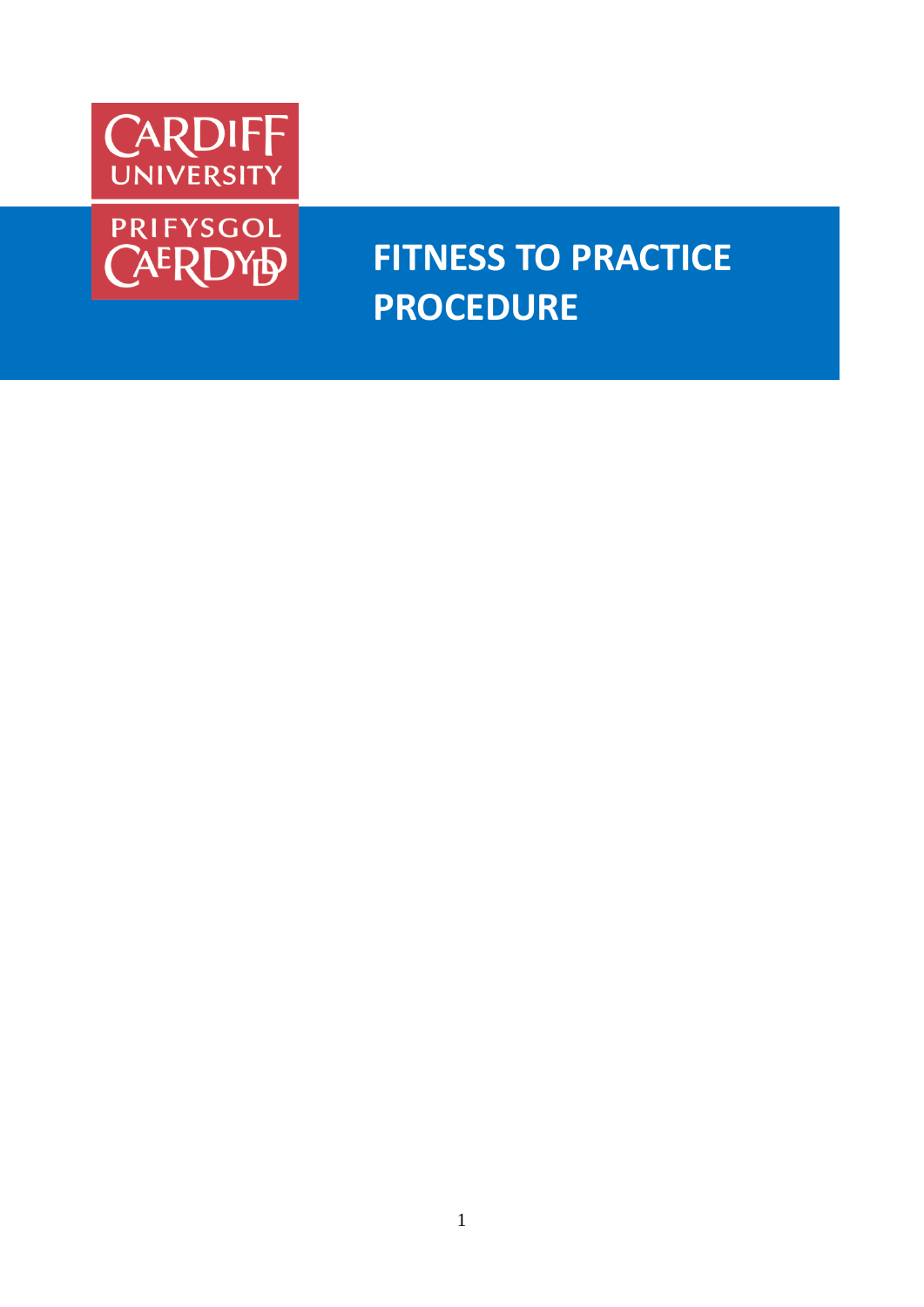



# **FITNESS TO PRACTICE PROCEDURE**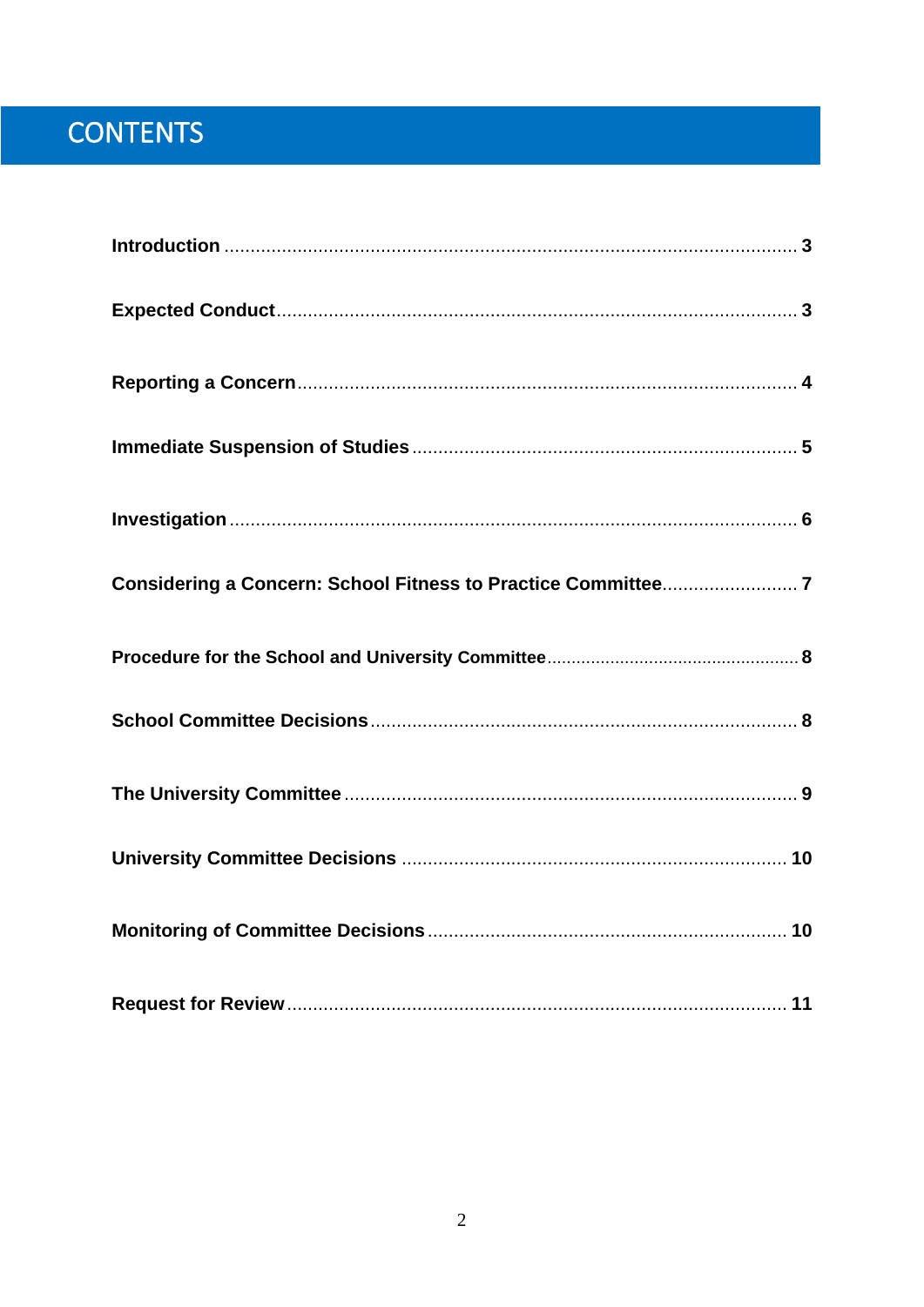# CONTENTS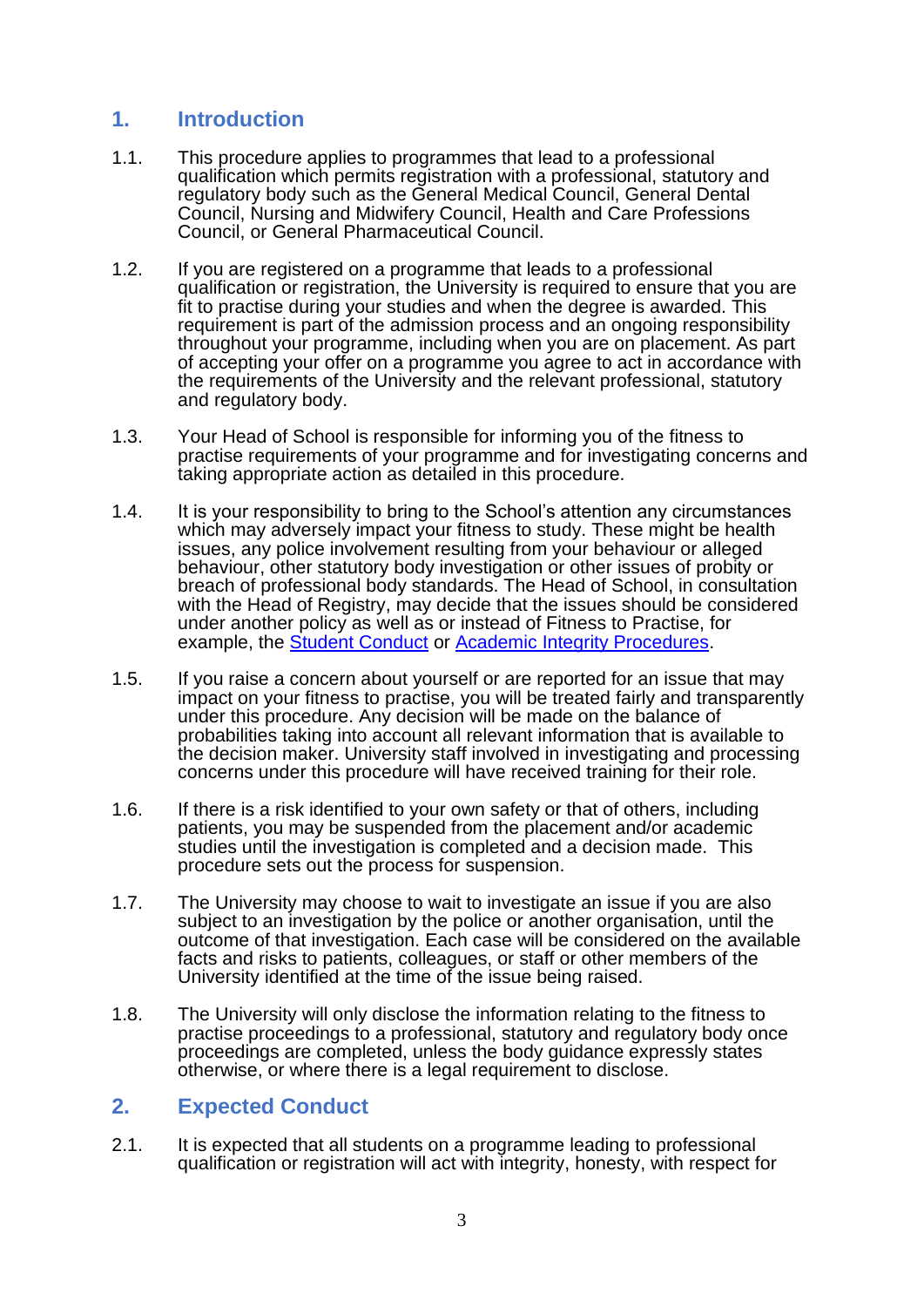# **1. Introduction**

- 1.1. This procedure applies to programmes that lead to a professional qualification which permits registration with a professional, statutory and regulatory body such as the General Medical Council, General Dental Council, Nursing and Midwifery Council, Health and Care Professions Council, or General Pharmaceutical Council.
- 1.2. If you are registered on a programme that leads to a professional qualification or registration, the University is required to ensure that you are fit to practise during your studies and when the degree is awarded. This requirement is part of the admission process and an ongoing responsibility throughout your programme, including when you are on placement. As part of accepting your offer on a programme you agree to act in accordance with the requirements of the University and the relevant professional, statutory and regulatory body.
- 1.3. Your Head of School is responsible for informing you of the fitness to practise requirements of your programme and for investigating concerns and taking appropriate action as detailed in this procedure.
- 1.4. It is your responsibility to bring to the School's attention any circumstances which may adversely impact your fitness to study. These might be health issues, any police involvement resulting from your behaviour or alleged behaviour, other statutory body investigation or other issues of probity or breach of professional body standards. The Head of School, in consultation with the Head of Registry, may decide that the issues should be considered under another policy as well as or instead of Fitness to Practise, for example, the [Student Conduct](https://intranet.cardiff.ac.uk/intranet/students/documents/academic-regulations/student-matters/15-Student-Conduct-Regulations.docx) or [Academic Integrity Procedures.](https://intranet.cardiff.ac.uk/intranet/students/documents/academic-regulations/policies-and-procedures/Academic-Integrity-Policy-Final.pdf)
- 1.5. If you raise a concern about yourself or are reported for an issue that may impact on your fitness to practise, you will be treated fairly and transparently under this procedure. Any decision will be made on the balance of probabilities taking into account all relevant information that is available to the decision maker. University staff involved in investigating and processing concerns under this procedure will have received training for their role.
- 1.6. If there is a risk identified to your own safety or that of others, including patients, you may be suspended from the placement and/or academic studies until the investigation is completed and a decision made. This procedure sets out the process for suspension.
- 1.7. The University may choose to wait to investigate an issue if you are also subject to an investigation by the police or another organisation, until the outcome of that investigation. Each case will be considered on the available facts and risks to patients, colleagues, or staff or other members of the University identified at the time of the issue being raised.
- 1.8. The University will only disclose the information relating to the fitness to practise proceedings to a professional, statutory and regulatory body once proceedings are completed, unless the body guidance expressly states otherwise, or where there is a legal requirement to disclose.

# **2. Expected Conduct**

2.1. It is expected that all students on a programme leading to professional qualification or registration will act with integrity, honesty, with respect for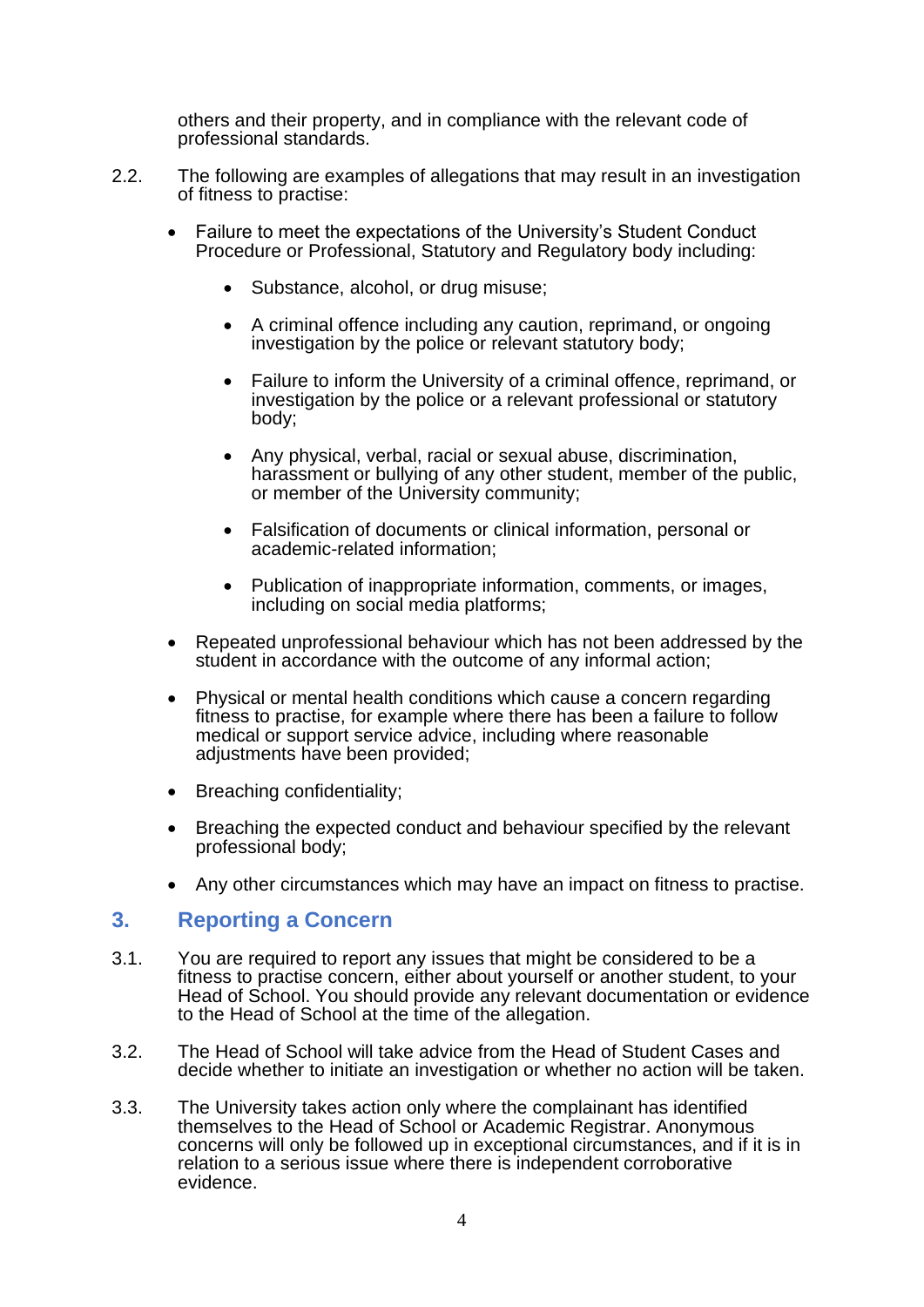others and their property, and in compliance with the relevant code of professional standards.

- 2.2. The following are examples of allegations that may result in an investigation of fitness to practise:
	- Failure to meet the expectations of the University's Student Conduct Procedure or Professional, Statutory and Regulatory body including:
		- Substance, alcohol, or drug misuse;
		- A criminal offence including any caution, reprimand, or ongoing investigation by the police or relevant statutory body;
		- Failure to inform the University of a criminal offence, reprimand, or investigation by the police or a relevant professional or statutory body;
		- Any physical, verbal, racial or sexual abuse, discrimination, harassment or bullying of any other student, member of the public, or member of the University community;
		- Falsification of documents or clinical information, personal or academic-related information;
		- Publication of inappropriate information, comments, or images, including on social media platforms;
	- Repeated unprofessional behaviour which has not been addressed by the student in accordance with the outcome of any informal action;
	- Physical or mental health conditions which cause a concern regarding fitness to practise, for example where there has been a failure to follow medical or support service advice, including where reasonable adjustments have been provided;
	- Breaching confidentiality;
	- Breaching the expected conduct and behaviour specified by the relevant professional body;
	- Any other circumstances which may have an impact on fitness to practise.

#### **3. Reporting a Concern**

- 3.1. You are required to report any issues that might be considered to be a fitness to practise concern, either about yourself or another student, to your Head of School. You should provide any relevant documentation or evidence to the Head of School at the time of the allegation.
- 3.2. The Head of School will take advice from the Head of Student Cases and decide whether to initiate an investigation or whether no action will be taken.
- 3.3. The University takes action only where the complainant has identified themselves to the Head of School or Academic Registrar. Anonymous concerns will only be followed up in exceptional circumstances, and if it is in relation to a serious issue where there is independent corroborative evidence.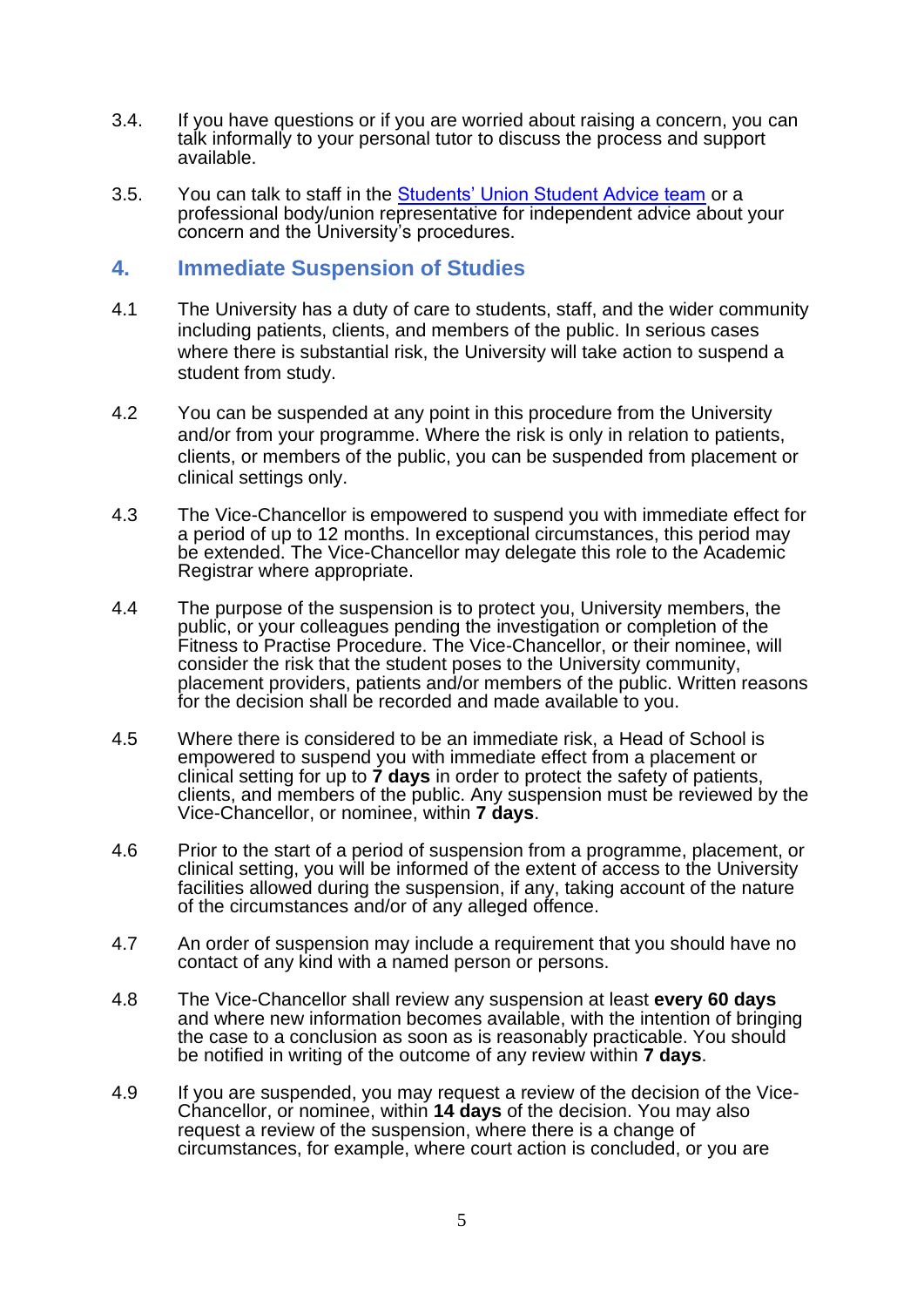- 3.4. If you have questions or if you are worried about raising a concern, you can talk informally to your personal tutor to discuss the process and support available.
- 3.5. You can talk to staff in the [Students' Union Student Advice team](https://www.cardiffstudents.com/advice/) or a professional body/union representative for independent advice about your concern and the University's procedures.

### **4. Immediate Suspension of Studies**

- 4.1 The University has a duty of care to students, staff, and the wider community including patients, clients, and members of the public. In serious cases where there is substantial risk, the University will take action to suspend a student from study.
- 4.2 You can be suspended at any point in this procedure from the University and/or from your programme. Where the risk is only in relation to patients, clients, or members of the public, you can be suspended from placement or clinical settings only.
- 4.3 The Vice-Chancellor is empowered to suspend you with immediate effect for a period of up to 12 months. In exceptional circumstances, this period may be extended. The Vice-Chancellor may delegate this role to the Academic Registrar where appropriate.
- 4.4 The purpose of the suspension is to protect you, University members, the public, or your colleagues pending the investigation or completion of the Fitness to Practise Procedure. The Vice-Chancellor, or their nominee, will consider the risk that the student poses to the University community, placement providers, patients and/or members of the public. Written reasons for the decision shall be recorded and made available to you.
- 4.5 Where there is considered to be an immediate risk, a Head of School is empowered to suspend you with immediate effect from a placement or clinical setting for up to **7 days** in order to protect the safety of patients, clients, and members of the public. Any suspension must be reviewed by the Vice-Chancellor, or nominee, within **7 days**.
- 4.6 Prior to the start of a period of suspension from a programme, placement, or clinical setting, you will be informed of the extent of access to the University facilities allowed during the suspension, if any, taking account of the nature of the circumstances and/or of any alleged offence.
- 4.7 An order of suspension may include a requirement that you should have no contact of any kind with a named person or persons.
- 4.8 The Vice-Chancellor shall review any suspension at least **every 60 days** and where new information becomes available, with the intention of bringing the case to a conclusion as soon as is reasonably practicable. You should be notified in writing of the outcome of any review within **7 days**.
- 4.9 If you are suspended, you may request a review of the decision of the Vice-Chancellor, or nominee, within **14 days** of the decision. You may also request a review of the suspension, where there is a change of circumstances, for example, where court action is concluded, or you are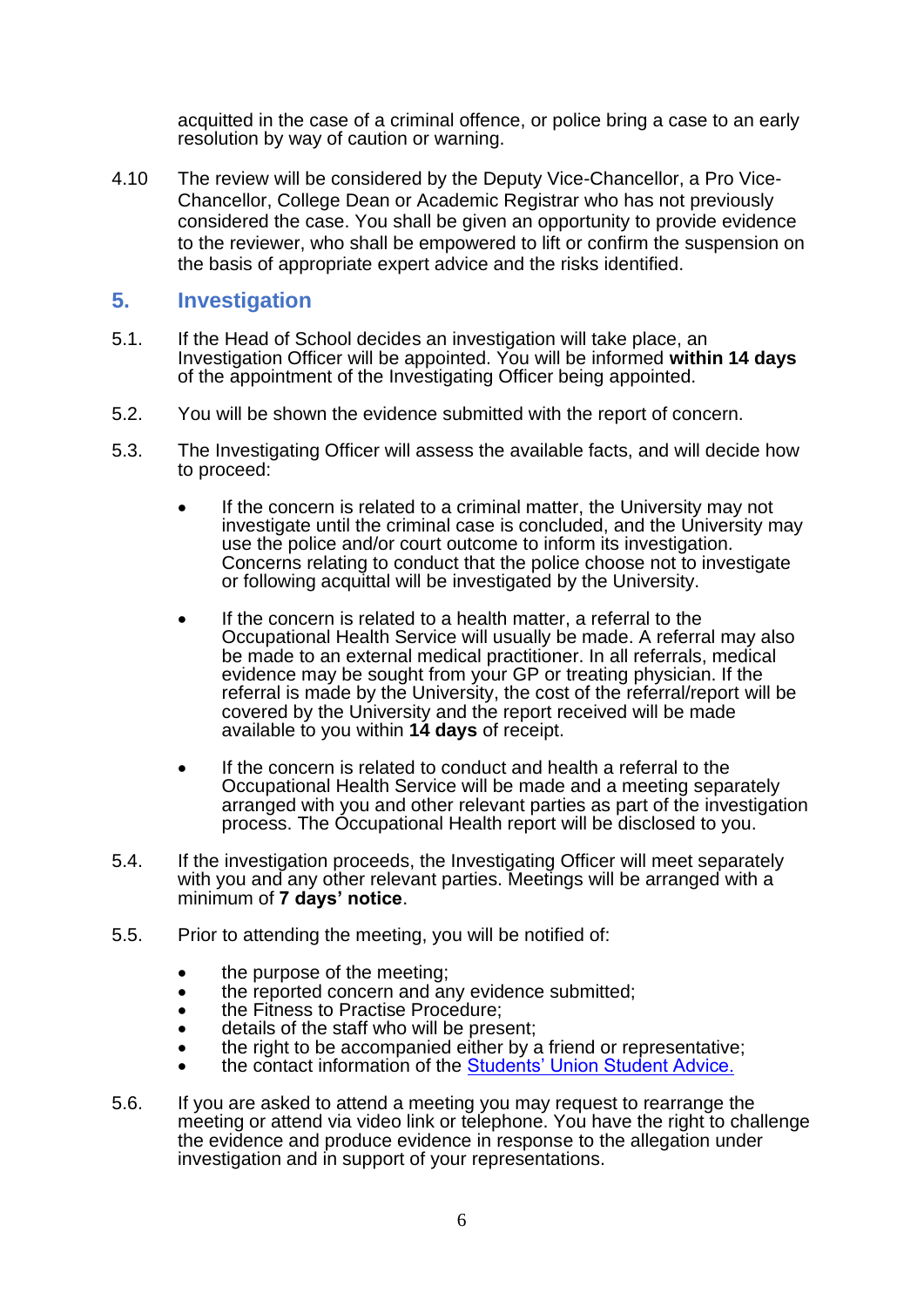acquitted in the case of a criminal offence, or police bring a case to an early resolution by way of caution or warning.

4.10 The review will be considered by the Deputy Vice-Chancellor, a Pro Vice-Chancellor, College Dean or Academic Registrar who has not previously considered the case. You shall be given an opportunity to provide evidence to the reviewer, who shall be empowered to lift or confirm the suspension on the basis of appropriate expert advice and the risks identified.

#### **5. Investigation**

- 5.1. If the Head of School decides an investigation will take place, an Investigation Officer will be appointed. You will be informed **within 14 days** of the appointment of the Investigating Officer being appointed.
- 5.2. You will be shown the evidence submitted with the report of concern.
- 5.3. The Investigating Officer will assess the available facts, and will decide how to proceed:
	- If the concern is related to a criminal matter, the University may not investigate until the criminal case is concluded, and the University may use the police and/or court outcome to inform its investigation. Concerns relating to conduct that the police choose not to investigate or following acquittal will be investigated by the University.
	- If the concern is related to a health matter, a referral to the Occupational Health Service will usually be made. A referral may also be made to an external medical practitioner. In all referrals, medical evidence may be sought from your GP or treating physician. If the referral is made by the University, the cost of the referral/report will be covered by the University and the report received will be made available to you within **14 days** of receipt.
	- If the concern is related to conduct and health a referral to the Occupational Health Service will be made and a meeting separately arranged with you and other relevant parties as part of the investigation process. The Occupational Health report will be disclosed to you.
- 5.4. If the investigation proceeds, the Investigating Officer will meet separately with you and any other relevant parties. Meetings will be arranged with a minimum of **7 days' notice**.
- 5.5. Prior to attending the meeting, you will be notified of:
	- the purpose of the meeting;
	- the reported concern and any evidence submitted;
	- the Fitness to Practise Procedure;
	- details of the staff who will be present;
	- the right to be accompanied either by a friend or representative;
	- the contact information of the [Students' Union Student Advice.](https://www.cardiffstudents.com/advice/)
- 5.6. If you are asked to attend a meeting you may request to rearrange the meeting or attend via video link or telephone. You have the right to challenge the evidence and produce evidence in response to the allegation under investigation and in support of your representations.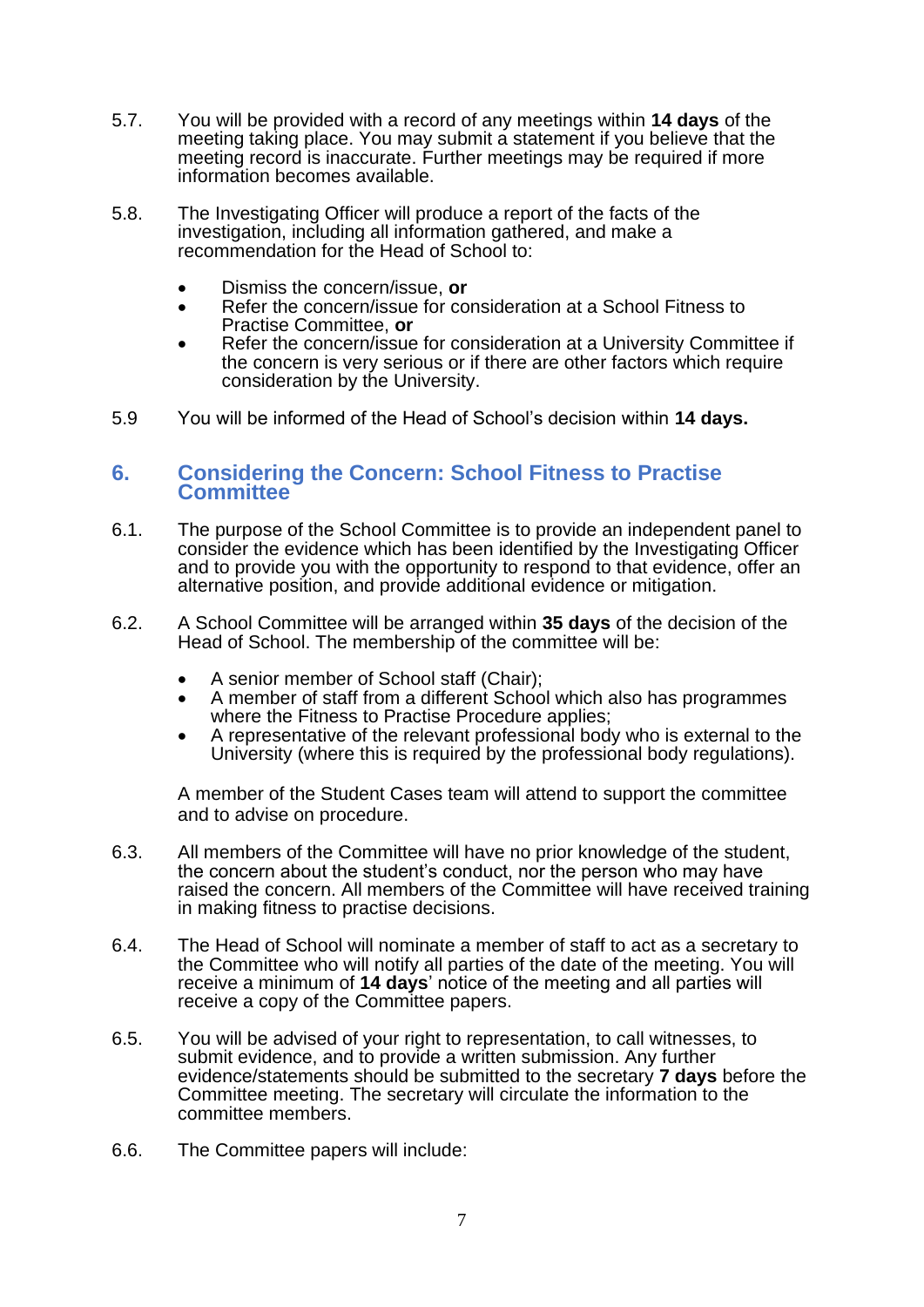- 5.7. You will be provided with a record of any meetings within **14 days** of the meeting taking place. You may submit a statement if you believe that the meeting record is inaccurate. Further meetings may be required if more information becomes available.
- 5.8. The Investigating Officer will produce a report of the facts of the investigation, including all information gathered, and make a recommendation for the Head of School to:
	- Dismiss the concern/issue, **or**
	- Refer the concern/issue for consideration at a School Fitness to Practise Committee, **or**
	- Refer the concern/issue for consideration at a University Committee if the concern is very serious or if there are other factors which require consideration by the University.
- 5.9 You will be informed of the Head of School's decision within **14 days.**

#### **6. Considering the Concern: School Fitness to Practise Committee**

- 6.1. The purpose of the School Committee is to provide an independent panel to consider the evidence which has been identified by the Investigating Officer and to provide you with the opportunity to respond to that evidence, offer an alternative position, and provide additional evidence or mitigation.
- 6.2. A School Committee will be arranged within **35 days** of the decision of the Head of School. The membership of the committee will be:
	- A senior member of School staff (Chair);
	- A member of staff from a different School which also has programmes where the Fitness to Practise Procedure applies;
	- A representative of the relevant professional body who is external to the University (where this is required by the professional body regulations).

A member of the Student Cases team will attend to support the committee and to advise on procedure.

- 6.3. All members of the Committee will have no prior knowledge of the student, the concern about the student's conduct, nor the person who may have raised the concern. All members of the Committee will have received training in making fitness to practise decisions.
- 6.4. The Head of School will nominate a member of staff to act as a secretary to the Committee who will notify all parties of the date of the meeting. You will receive a minimum of **14 days**' notice of the meeting and all parties will receive a copy of the Committee papers.
- 6.5. You will be advised of your right to representation, to call witnesses, to submit evidence, and to provide a written submission. Any further evidence/statements should be submitted to the secretary **7 days** before the Committee meeting. The secretary will circulate the information to the committee members.
- 6.6. The Committee papers will include: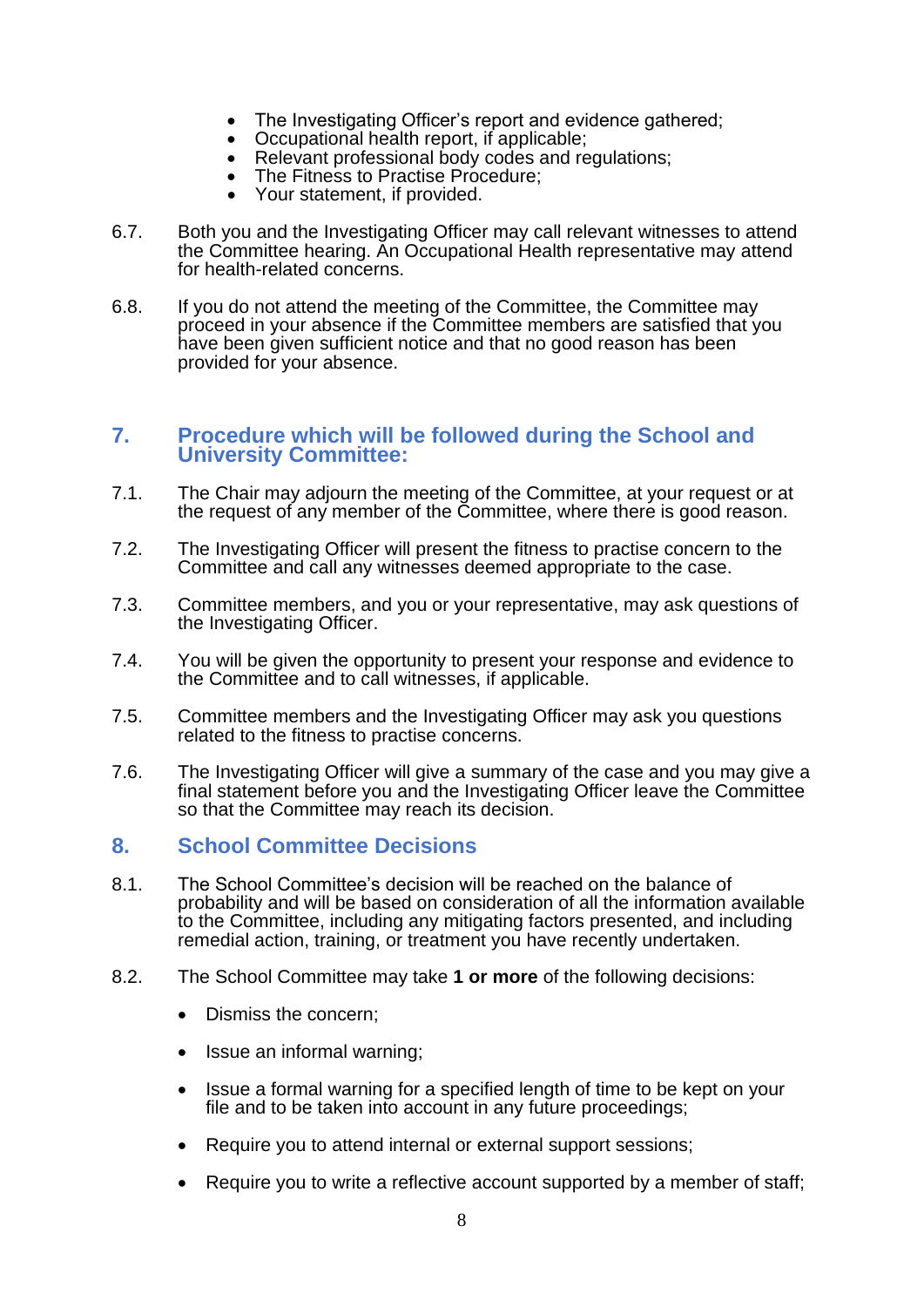- The Investigating Officer's report and evidence gathered;
- Occupational health report, if applicable;
- Relevant professional body codes and regulations;
- The Fitness to Practise Procedure;
- Your statement, if provided.
- 6.7. Both you and the Investigating Officer may call relevant witnesses to attend the Committee hearing. An Occupational Health representative may attend for health-related concerns.
- 6.8. If you do not attend the meeting of the Committee, the Committee may proceed in your absence if the Committee members are satisfied that you have been given sufficient notice and that no good reason has been provided for your absence.

#### **7. Procedure which will be followed during the School and University Committee:**

- 7.1. The Chair may adjourn the meeting of the Committee, at your request or at the request of any member of the Committee, where there is good reason.
- 7.2. The Investigating Officer will present the fitness to practise concern to the Committee and call any witnesses deemed appropriate to the case.
- 7.3. Committee members, and you or your representative, may ask questions of the Investigating Officer.
- 7.4. You will be given the opportunity to present your response and evidence to the Committee and to call witnesses, if applicable.
- 7.5. Committee members and the Investigating Officer may ask you questions related to the fitness to practise concerns.
- 7.6. The Investigating Officer will give a summary of the case and you may give a final statement before you and the Investigating Officer leave the Committee so that the Committee may reach its decision.

#### **8. School Committee Decisions**

- 8.1. The School Committee's decision will be reached on the balance of probability and will be based on consideration of all the information available to the Committee, including any mitigating factors presented, and including remedial action, training, or treatment you have recently undertaken.
- 8.2. The School Committee may take **1 or more** of the following decisions:
	- Dismiss the concern;
	- Issue an informal warning;
	- Issue a formal warning for a specified length of time to be kept on your file and to be taken into account in any future proceedings;
	- Require you to attend internal or external support sessions:
	- Require you to write a reflective account supported by a member of staff;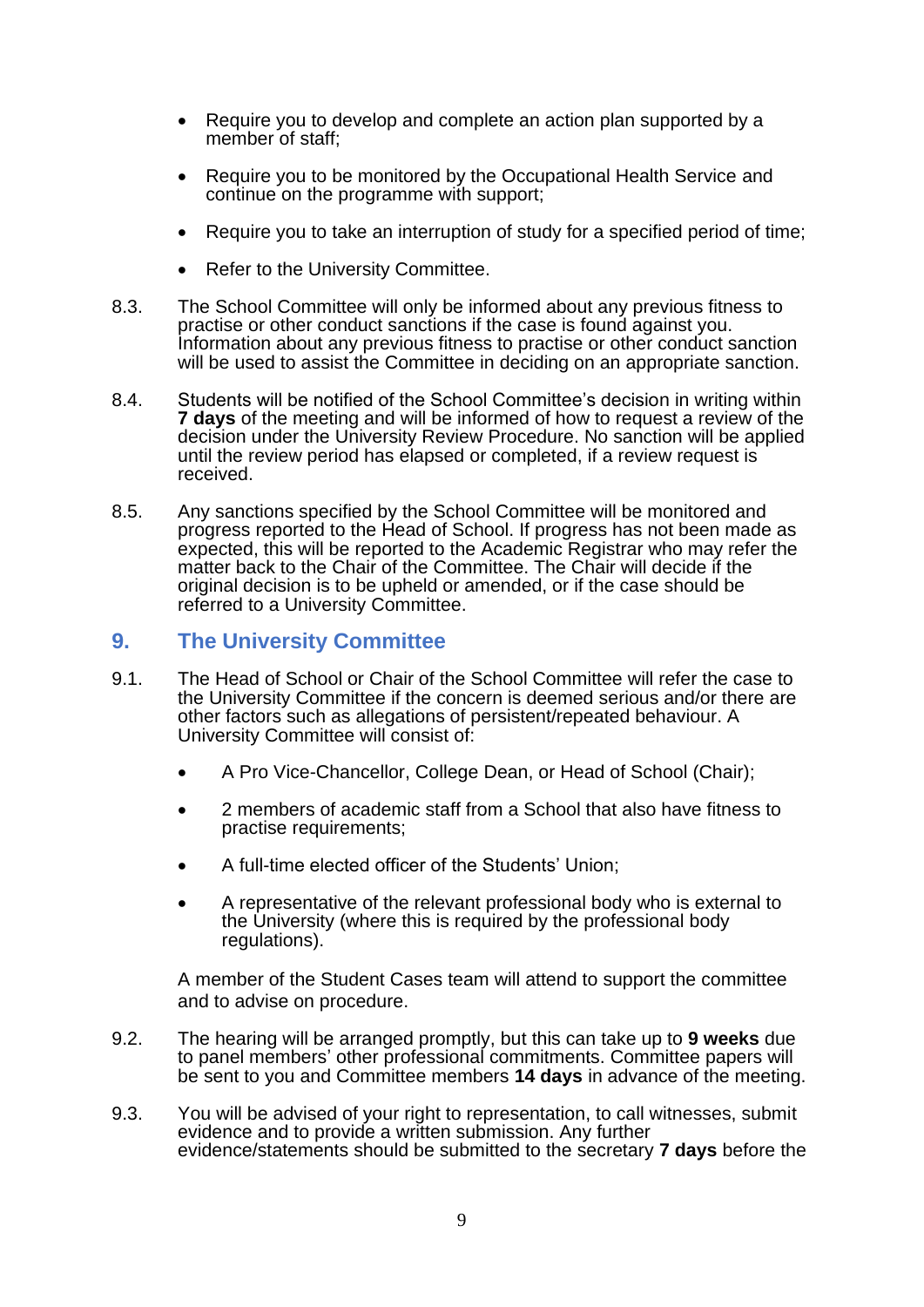- Require you to develop and complete an action plan supported by a member of staff;
- Require you to be monitored by the Occupational Health Service and continue on the programme with support;
- Require you to take an interruption of study for a specified period of time;
- Refer to the University Committee.
- 8.3. The School Committee will only be informed about any previous fitness to practise or other conduct sanctions if the case is found against you. Information about any previous fitness to practise or other conduct sanction will be used to assist the Committee in deciding on an appropriate sanction.
- 8.4. Students will be notified of the School Committee's decision in writing within **7 days** of the meeting and will be informed of how to request a review of the decision under the University Review Procedure. No sanction will be applied until the review period has elapsed or completed, if a review request is received.
- 8.5. Any sanctions specified by the School Committee will be monitored and progress reported to the Head of School. If progress has not been made as expected, this will be reported to the Academic Registrar who may refer the matter back to the Chair of the Committee. The Chair will decide if the original decision is to be upheld or amended, or if the case should be referred to a University Committee.

# **9. The University Committee**

- 9.1. The Head of School or Chair of the School Committee will refer the case to the University Committee if the concern is deemed serious and/or there are other factors such as allegations of persistent/repeated behaviour. A University Committee will consist of:
	- A Pro Vice-Chancellor, College Dean, or Head of School (Chair);
	- 2 members of academic staff from a School that also have fitness to practise requirements;
	- A full-time elected officer of the Students' Union;
	- A representative of the relevant professional body who is external to the University (where this is required by the professional body regulations).

A member of the Student Cases team will attend to support the committee and to advise on procedure.

- 9.2. The hearing will be arranged promptly, but this can take up to **9 weeks** due to panel members' other professional commitments. Committee papers will be sent to you and Committee members **14 days** in advance of the meeting.
- 9.3. You will be advised of your right to representation, to call witnesses, submit evidence and to provide a written submission. Any further evidence/statements should be submitted to the secretary **7 days** before the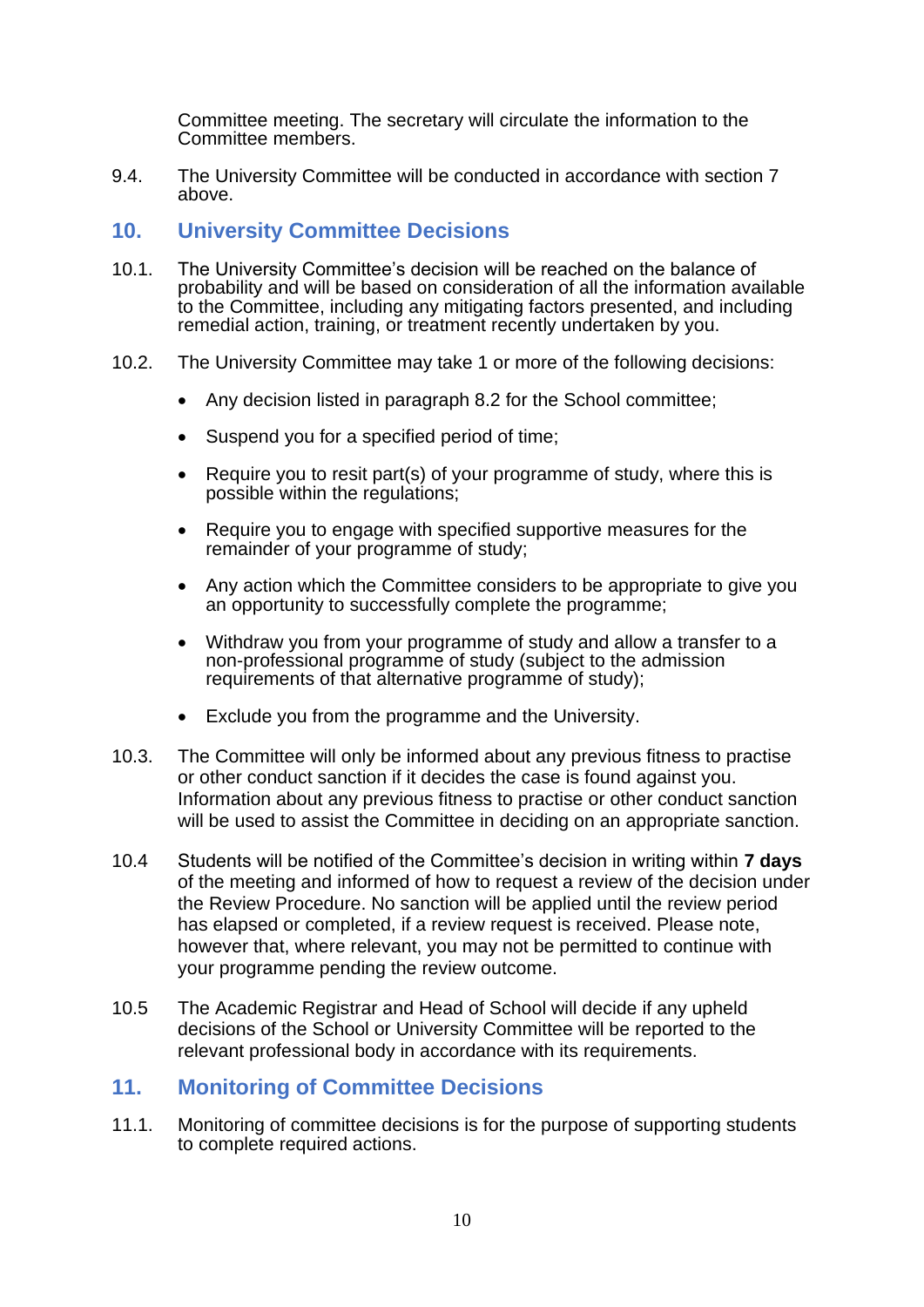Committee meeting. The secretary will circulate the information to the Committee members.

9.4. The University Committee will be conducted in accordance with section 7 above.

## **10. University Committee Decisions**

- 10.1. The University Committee's decision will be reached on the balance of probability and will be based on consideration of all the information available to the Committee, including any mitigating factors presented, and including remedial action, training, or treatment recently undertaken by you.
- 10.2. The University Committee may take 1 or more of the following decisions:
	- Any decision listed in paragraph 8.2 for the School committee;
	- Suspend you for a specified period of time;
	- Require you to resit part(s) of your programme of study, where this is possible within the regulations;
	- Require you to engage with specified supportive measures for the remainder of your programme of study;
	- Any action which the Committee considers to be appropriate to give you an opportunity to successfully complete the programme;
	- Withdraw you from your programme of study and allow a transfer to a non-professional programme of study (subject to the admission requirements of that alternative programme of study);
	- Exclude you from the programme and the University.
- 10.3. The Committee will only be informed about any previous fitness to practise or other conduct sanction if it decides the case is found against you. Information about any previous fitness to practise or other conduct sanction will be used to assist the Committee in deciding on an appropriate sanction.
- 10.4 Students will be notified of the Committee's decision in writing within **7 days** of the meeting and informed of how to request a review of the decision under the Review Procedure. No sanction will be applied until the review period has elapsed or completed, if a review request is received. Please note, however that, where relevant, you may not be permitted to continue with your programme pending the review outcome.
- 10.5 The Academic Registrar and Head of School will decide if any upheld decisions of the School or University Committee will be reported to the relevant professional body in accordance with its requirements.

#### **11. Monitoring of Committee Decisions**

11.1. Monitoring of committee decisions is for the purpose of supporting students to complete required actions.